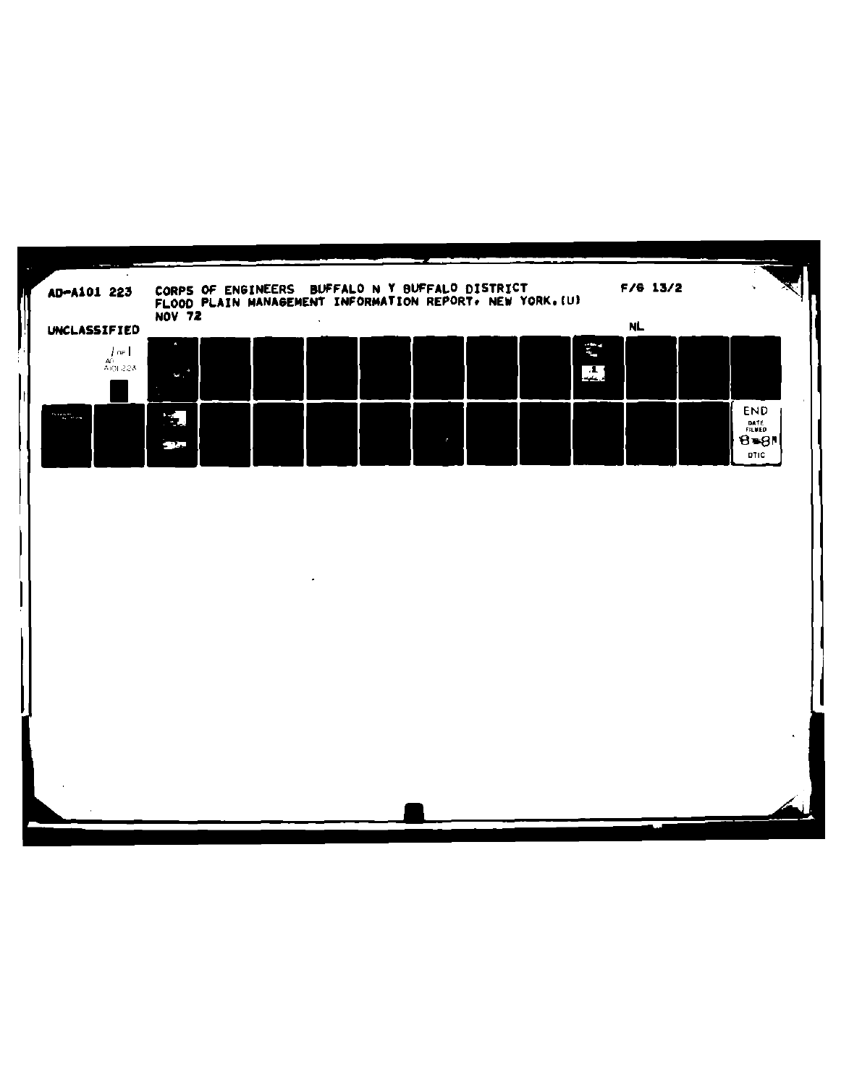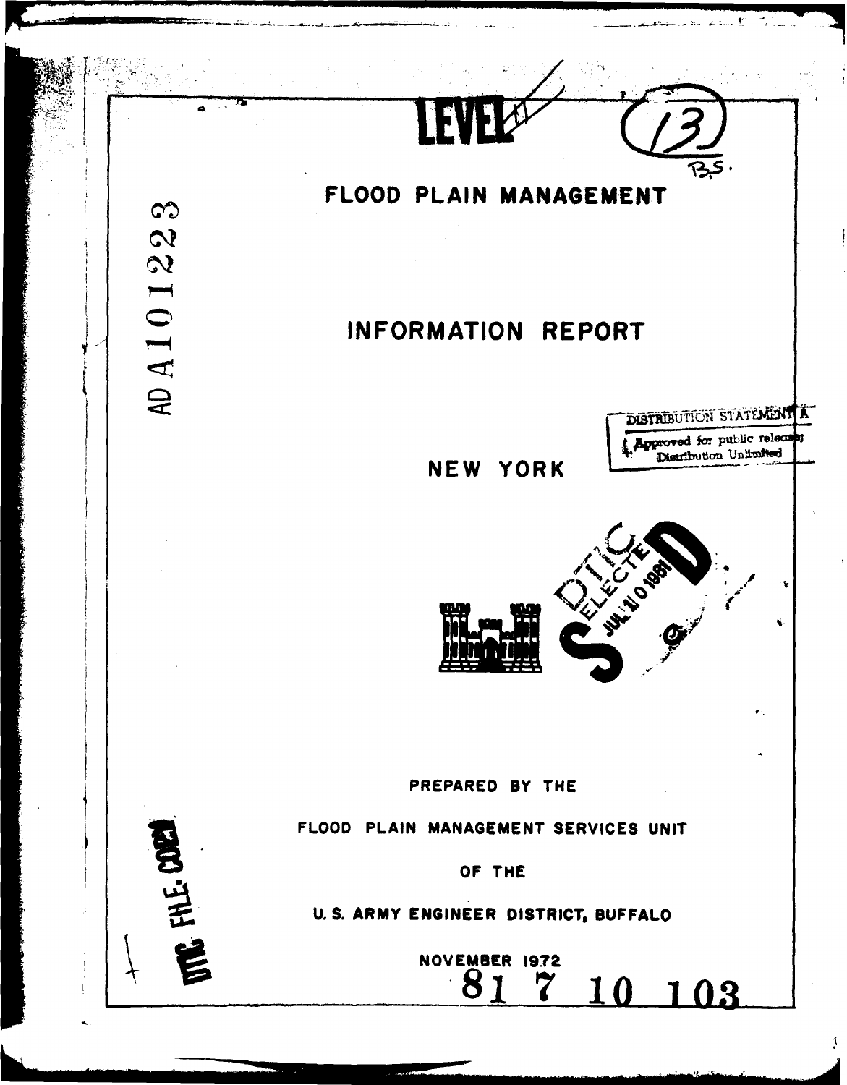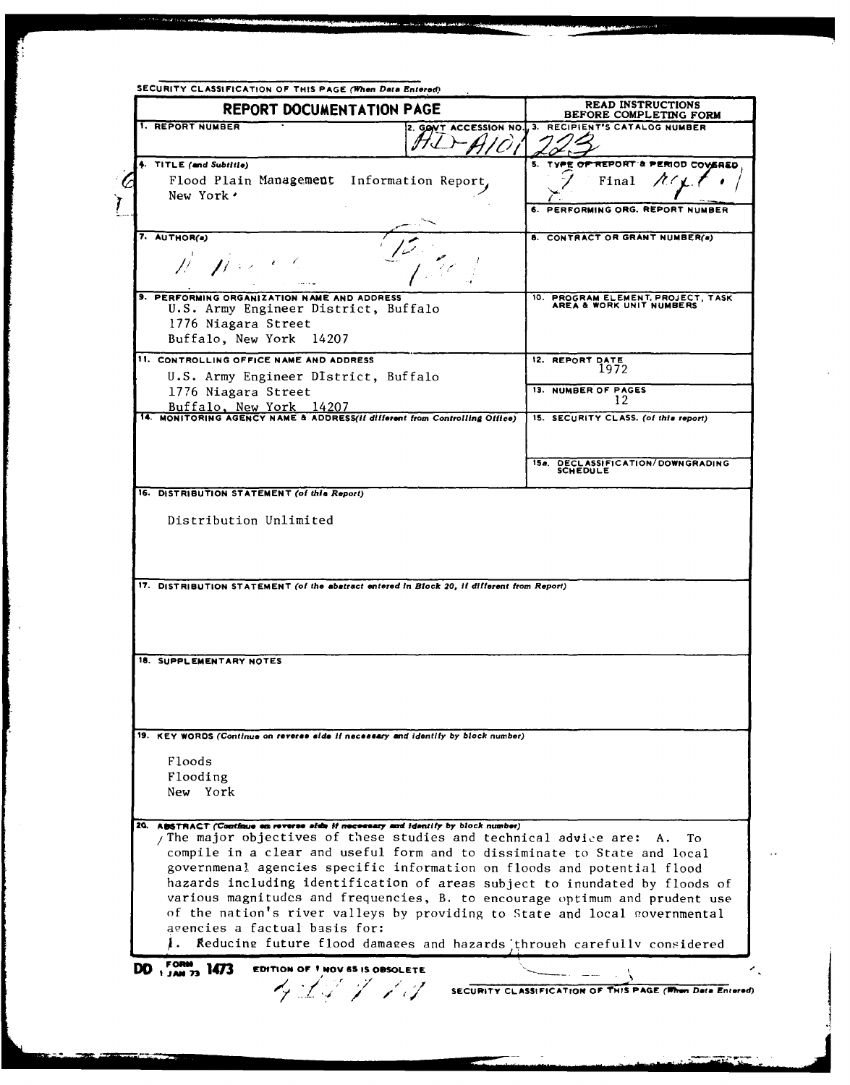| <b>REPORT DOCUMENTATION PAGE</b>                                                                       |                                             |                                                                                      | <b>READ INSTRUCTIONS</b><br>BEFORE COMPLETING FORM                                                                                                         |
|--------------------------------------------------------------------------------------------------------|---------------------------------------------|--------------------------------------------------------------------------------------|------------------------------------------------------------------------------------------------------------------------------------------------------------|
| 1. REPORT NUMBER                                                                                       |                                             |                                                                                      | 2. GONT ACCESSION NO., 3. RECIPIENT'S CATALOG NUMBER                                                                                                       |
|                                                                                                        |                                             |                                                                                      |                                                                                                                                                            |
| 4. TITLE (and Subtitle)                                                                                |                                             |                                                                                      | REPORT & PE<br>5.<br><b>10D COVERED</b>                                                                                                                    |
|                                                                                                        | Flood Plain Management Information Report,  |                                                                                      | Final                                                                                                                                                      |
| New York'                                                                                              |                                             |                                                                                      |                                                                                                                                                            |
|                                                                                                        |                                             |                                                                                      | PERFORMING ORG. REPORT NUMBER                                                                                                                              |
|                                                                                                        |                                             |                                                                                      |                                                                                                                                                            |
| 7. AUTHOR(a)                                                                                           |                                             |                                                                                      | 8. CONTRACT OR GRANT NUMBER(a)                                                                                                                             |
|                                                                                                        |                                             |                                                                                      |                                                                                                                                                            |
|                                                                                                        |                                             |                                                                                      |                                                                                                                                                            |
|                                                                                                        | 9. PERFORMING ORGANIZATION NAME AND ADDRESS |                                                                                      |                                                                                                                                                            |
|                                                                                                        | U.S. Army Engineer District, Buffalo        |                                                                                      | 10. PROGRAM ELEMENT, PROJECT, TASK AREA & WORK UNIT NUMBERS                                                                                                |
|                                                                                                        | 1776 Niagara Street                         |                                                                                      |                                                                                                                                                            |
| Buffalo, New York                                                                                      | - 14207                                     |                                                                                      |                                                                                                                                                            |
|                                                                                                        |                                             |                                                                                      | 12. REPORT DATE                                                                                                                                            |
| 11. CONTROLLING OFFICE NAME AND ADDRESS<br>U.S. Army Engineer DIstrict, Buffalo<br>1776 Niagara Street |                                             |                                                                                      | 1972                                                                                                                                                       |
|                                                                                                        |                                             |                                                                                      | 13. NUMBER OF PAGES                                                                                                                                        |
|                                                                                                        | Buffalo, New York 14207                     |                                                                                      | 12                                                                                                                                                         |
|                                                                                                        |                                             | 14. MONITORING AGENCY NAME & ADDRESS(II different from Controlling Office)           | 15. SECURITY CLASS. (of this report)                                                                                                                       |
|                                                                                                        |                                             |                                                                                      |                                                                                                                                                            |
|                                                                                                        |                                             |                                                                                      |                                                                                                                                                            |
|                                                                                                        |                                             |                                                                                      | 15a. DECLASSIFICATION/DOWNGRADING<br><b>SCHEDULE</b>                                                                                                       |
|                                                                                                        |                                             |                                                                                      |                                                                                                                                                            |
|                                                                                                        | 16. DISTRIBUTION STATEMENT (of this Report) |                                                                                      |                                                                                                                                                            |
|                                                                                                        | Distribution Unlimited                      |                                                                                      |                                                                                                                                                            |
|                                                                                                        |                                             |                                                                                      |                                                                                                                                                            |
|                                                                                                        |                                             |                                                                                      |                                                                                                                                                            |
|                                                                                                        |                                             |                                                                                      |                                                                                                                                                            |
|                                                                                                        |                                             |                                                                                      |                                                                                                                                                            |
| 18. SUPPLEMENTARY NOTES                                                                                |                                             |                                                                                      |                                                                                                                                                            |
|                                                                                                        |                                             |                                                                                      |                                                                                                                                                            |
|                                                                                                        |                                             |                                                                                      |                                                                                                                                                            |
|                                                                                                        |                                             |                                                                                      |                                                                                                                                                            |
|                                                                                                        |                                             | 19. KEY WORDS (Continue on reverse side if necessary and identify by block number)   |                                                                                                                                                            |
|                                                                                                        |                                             |                                                                                      |                                                                                                                                                            |
| Floods                                                                                                 |                                             |                                                                                      |                                                                                                                                                            |
| Flooding                                                                                               |                                             |                                                                                      |                                                                                                                                                            |
| New York                                                                                               |                                             |                                                                                      |                                                                                                                                                            |
|                                                                                                        |                                             |                                                                                      |                                                                                                                                                            |
| 20.                                                                                                    |                                             | <b>ABSTRACT (Continue on reverse side if necessary and identity by block number)</b> | А.<br>Tο                                                                                                                                                   |
|                                                                                                        |                                             | / The major objectives of these studies and technical advice are:                    |                                                                                                                                                            |
|                                                                                                        |                                             |                                                                                      | compile in a clear and useful form and to dissiminate to State and local                                                                                   |
|                                                                                                        |                                             |                                                                                      | governmenal agencies specific information on floods and potential flood                                                                                    |
|                                                                                                        |                                             |                                                                                      |                                                                                                                                                            |
|                                                                                                        |                                             |                                                                                      |                                                                                                                                                            |
|                                                                                                        |                                             |                                                                                      | of the nation's river valleys by providing to State and local governmental                                                                                 |
|                                                                                                        | agencies a factual basis for:               |                                                                                      |                                                                                                                                                            |
|                                                                                                        |                                             |                                                                                      | Reducing future flood damages and hazards through carefully considered                                                                                     |
| DD $_{1,200}^{FORM}$ 1473                                                                              | <b>EDITION OF 1 NOV 65 IS OBSOLETE</b>      |                                                                                      |                                                                                                                                                            |
|                                                                                                        |                                             |                                                                                      | hazards including identification of areas subject to inundated by floods of<br>various magnitudes and frequencies, B. to encourage optimum and prudent use |
|                                                                                                        | タユダタ アマ                                     |                                                                                      | SECURITY CLASSIFICATION OF THIS PAGE (When Data Entered)                                                                                                   |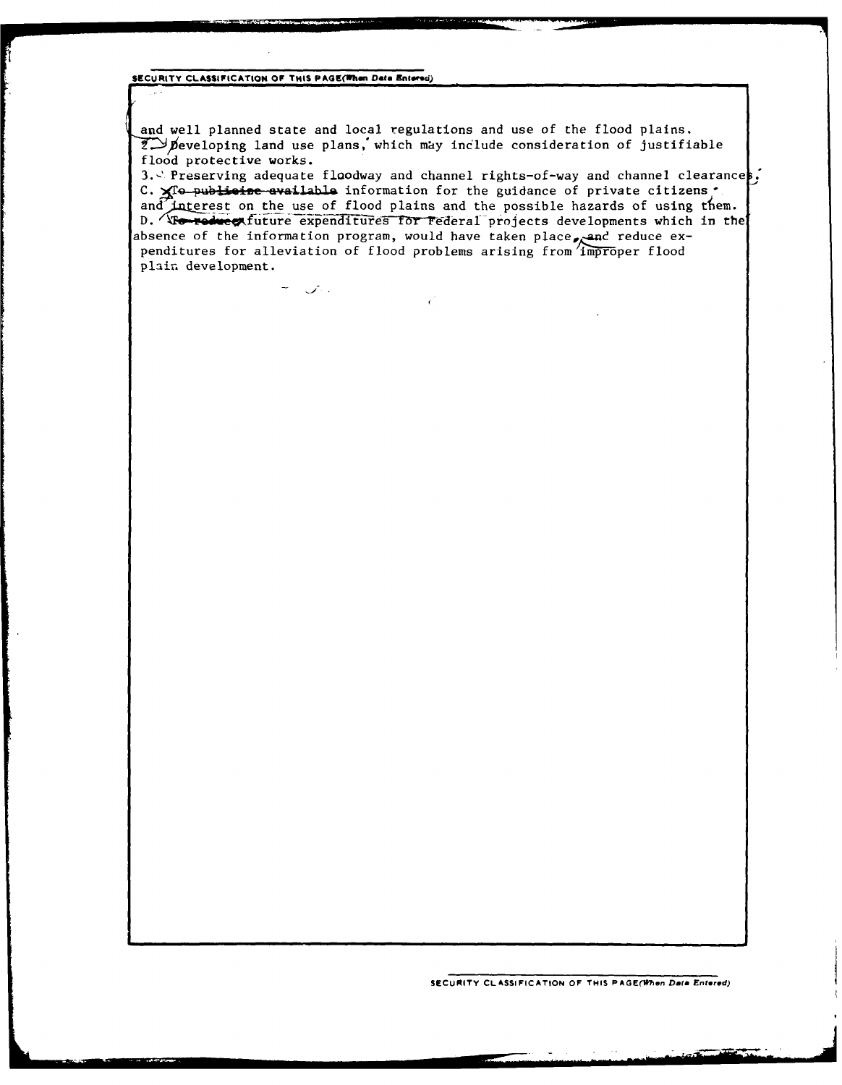SECURITY CLASSIFICATION OF THIS PAGE(When Data Entered)

 $\label{eq:1} \begin{array}{ll} \displaystyle \frac{1}{\sqrt{2}}\, \frac{1}{\sqrt{2}}\, \frac{1}{\sqrt{2}}\, \frac{1}{\sqrt{2}}\, \frac{1}{\sqrt{2}}\, \frac{1}{\sqrt{2}}\, \frac{1}{\sqrt{2}}\, \frac{1}{\sqrt{2}}\, \frac{1}{\sqrt{2}}\, \frac{1}{\sqrt{2}}\, \frac{1}{\sqrt{2}}\, \frac{1}{\sqrt{2}}\, \frac{1}{\sqrt{2}}\, \frac{1}{\sqrt{2}}\, \frac{1}{\sqrt{2}}\, \frac{1}{\sqrt{2}}\, \frac{1}{\sqrt{2}}\$ 

and well planned state and local regulations and use of the flood plains.  $\widetilde{Z}$  peveloping land use plans, which may include consideration of justifiable flood protective works.

 $\epsilon^*$ 

3. Preserving adequate floodway and channel rights-of-way and channel clearances. C. XTo publicize available information for the guidance of private citizens . and interest on the use of flood plains and the possible hazards of using them. D. To reduce future expenditures for Federal projects developments which in the absence of the information program, would have taken place, and reduce expenditures for alleviation of flood problems arising from improper flood plain development.

SECURITY CLASSIFICATION OF THIS PAGE(When Data Entered)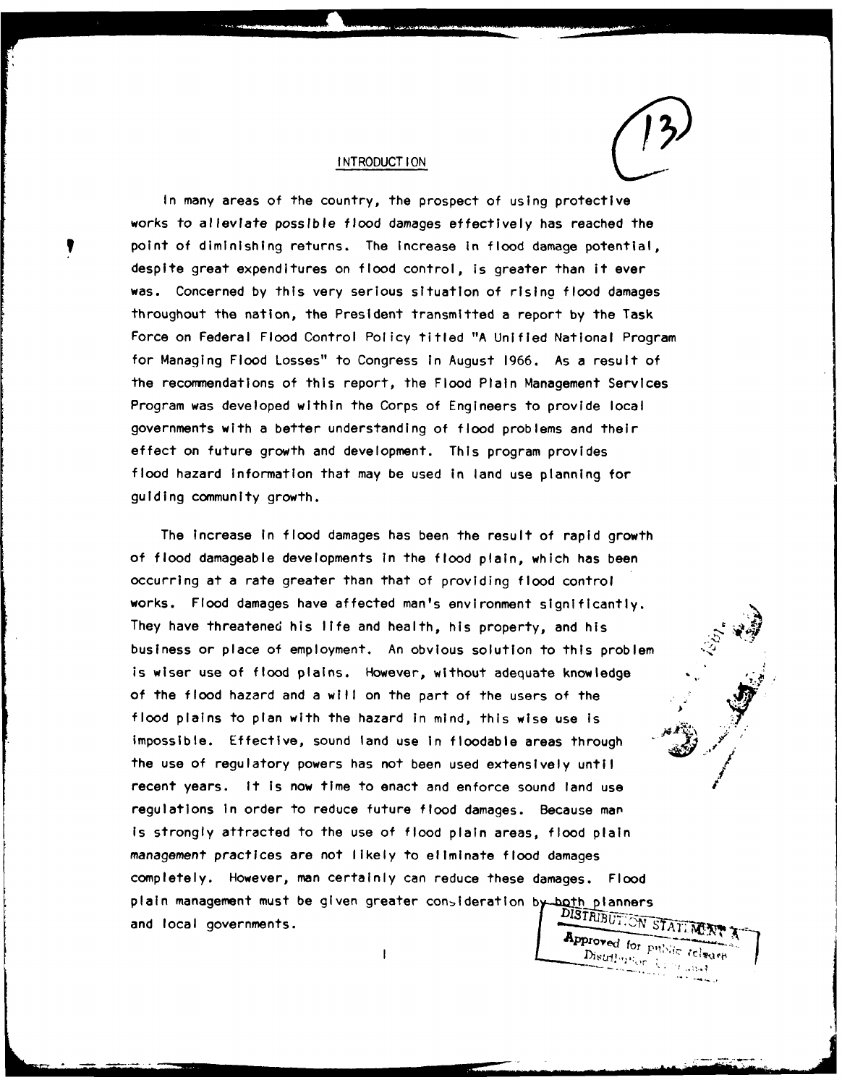

#### **INTRODUCTION**

In many areas of the country, the prospect of using protective works to alleviate possible flood damages effectively has reached the point of diminishing returns. The increase In flood damage potential, despite great expenditures on flood control, is greater than it ever was. Concerned **by** this very serious situation of rising flood damages throughout the nation, the President transmitted a report **by** the Task Force on Federal Flood Control Policy titled **"A** Unified National Program for Managing Flood Losses" to Congress in August **1966.** As a result of the recommendations of this report, the Flood Plain Management Services Program was developed within the Corps of Engineers to provide local governments with a better understanding of flood problems and their effect on future growth and development. This program provides flood hazard Information that may be used in land use planning for guiding community growth.

The Increase In flood damages has been the result of rapid growth of flood damageable developments in the flood plain, which has been occurring at a rate greater than that of providing flood control works. Flood damages have affected man's environment significantly. They have threatened his life and health, his property, and his . business or place of employment. An obvious solution to this problem is wiser use of flood plains. However, without adequate knowledge of the flood hazard and a will on the part of the users of the flood plains to plan with the hazard in mind, this wise use is **A** impossible. Effective, sound land use in floodable areas through the use of regulatory powers has not been used extensively until/ recent years. It is now time to enact and enforce sound land use regulations In order to reduce future flood damages. Because man Is strongly attracted to the use of flood plain areas, flood plain management practices are not likely to eliminate flood damages completely. However, man certainly can reduce these damages. **Flood** plain management must be given greater consideration by both planners and local governments. Approved for public release

 $\mathbf{I}$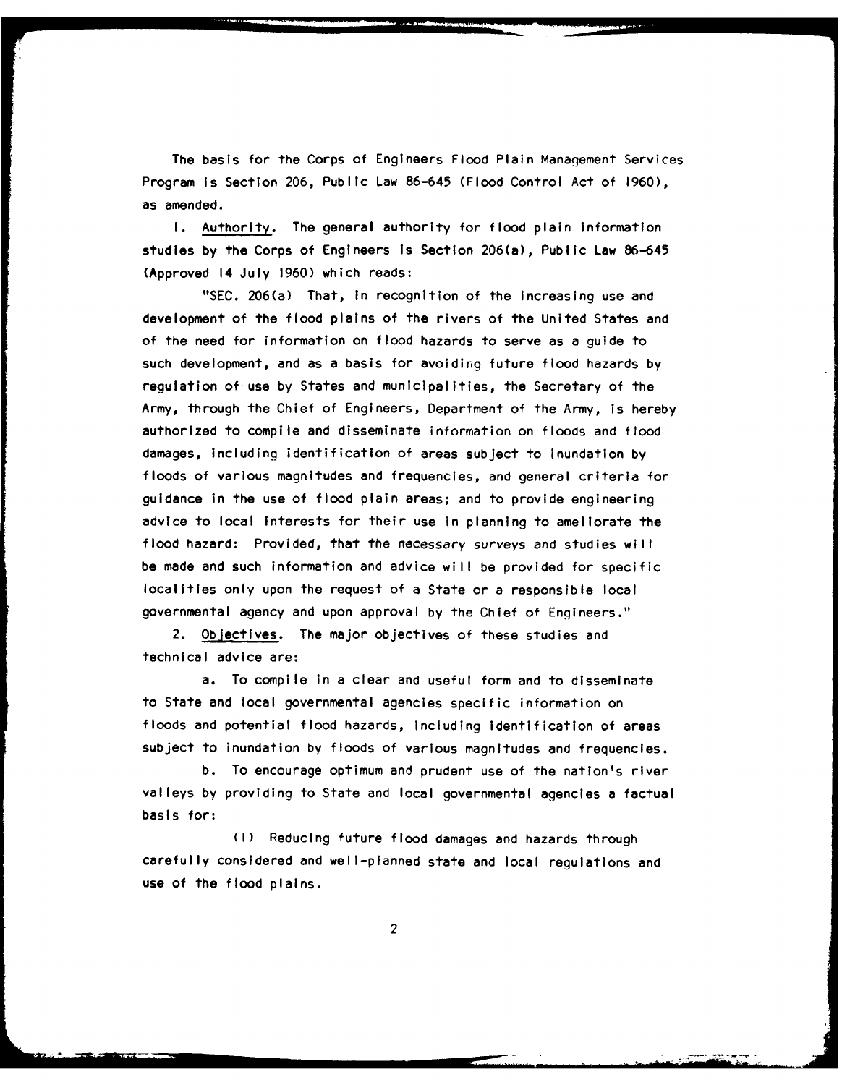The basis for the Corps of Engineers Flood Plain Management Services Program is Section **206,** Public Law **86-645** (Flood Control Act of **1960),** as amended.

**I.** Authority. The general authority for flood plain information studies **by** the Corps of Engineers Is Section 206(a), Public Law **86-645** (Approved 14 July **1960)** which reads:

**"SEC.** 206(a) That, In recognition of the increasing use and development of the flood plains of the rivers of the United States and of the need for information on flood hazards to serve as a guide to such development, and as a basis for avoiding future flood hazards **by** regulation of use **by** States and municipalities, the Secretary of the Army, through the Chief of Engineers, Department of the Army, is hereby authorized to compile and disseminate information on floods and flood damages, including identification of areas subject to inundation **by** floods of various magnitudes and frequencies, and general criteria for guidance in the use of flood plain areas; and to provide engineering advice to local Interests for their use in planning to ameliorate the flood hazard: Provided, that the necessary surveys and studies will be made and such information and advice will be provided for specific localities only upon the request of a State or a responsible local governmental agency and upon approval **by** the Chief of Engineers."

2. Objectives. The major objectives of these studies and technical advice are:

a. To compile in a clear and useful form and to disseminate to State and local governmental agencies specific information on floods and potential flood hazards, including identification of areas subject to inundation **by** floods of various magnitudes and frequencies.

**b.** To encourage optimum and prudent use of the nation's river valleys **by** providing to State and local governmental agencies a factual basis for:

**(I)** Reducing future flood damages and hazards through carefully considered and well-planned state and local regulations and use of the flood plains.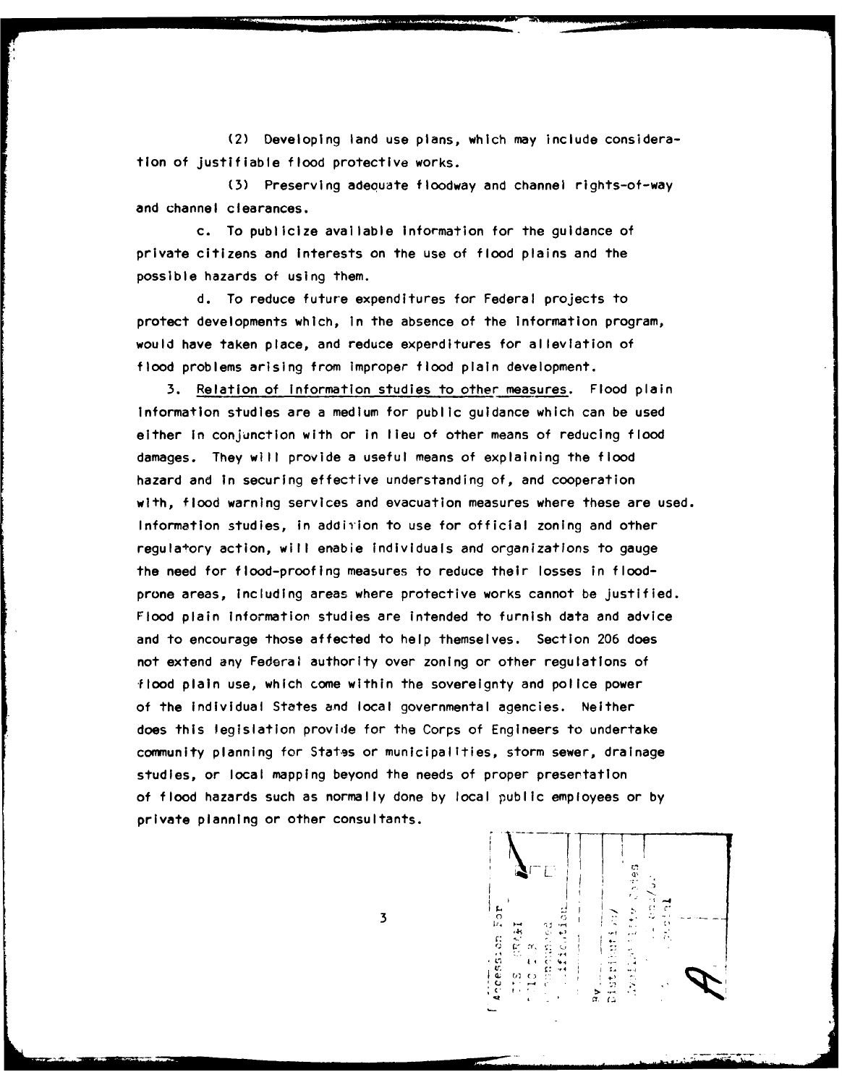(2) Developing land use plans, which may include consideration of justifiable flood protective works.

(3) Preserving adeouate floodway and channel rights-of-way and channel clearances.

c. To publicize available information for the guidance of private citizens and Interests on the use of flood plains and the possible hazards of using them.

**d.** To reduce future expenditures for Federal projects to protect developments which, in the absence of the information program, would have taken place, and reduce expenditures for alleviation of flood problems arising from Improper flood plain development.

**3.** Relation of information studies to other measures. Flood plain Information studies are a medium for public guidance which can be used either in conjunction with or in lieu of other means of reducing flood damages. They will provide a useful means of explaining the flood hazard and In securing effective understanding of, and cooperation with, flood warning services and evacuation measures where these are used. Information studies, in addition to use for official zoning and other regula+ory action, will enabie individuals and organizations to gauge the need for flood-proofing measures to reduce their losses in floodprone areas, including areas where protective works cannot be justified. Flood plain Information studies are intended to furnish data and advice and to encourage those affected to help themselves. Section **206** does not extend any Federal authority over zoning or other regulations of flood plain use, which come within the sovereignty and police power of the individual States and local governmental agencies. Neither does this legislation provide for the Corps of Engineers to undertake community planning for Stat-gs or municipalities, storm sewer, drainage studies, or local mapping beyond the needs of proper presentation of flood hazards such as normally done **by** local public employees or **by** private planning or other consultants.

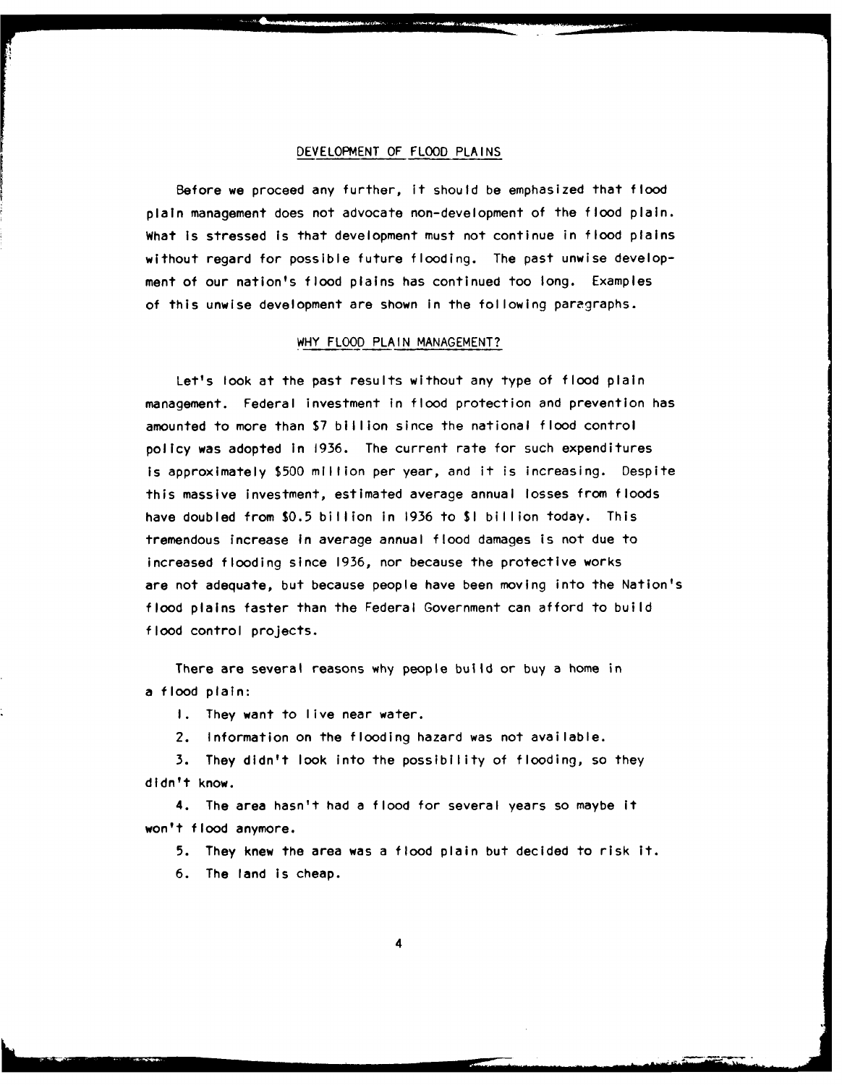## **DEVELOPMENT** OF FLOOD **PLAINS**

Before we proceed any further, it should be emphasized that flood plain management does not advocate non-development of the **flood** plain. What is stressed is that development must not continue in flood plains without regard for possible future flooding. The past unwise development of our nation's flood plains has continued too long. Examples of this unwise development are shown in the following paragraphs.

## WHY FLOOD **PLAIN MANAGEMENT?**

Let's look at the past results without any type of flood plain management. Federal investment In flood protection and prevention has amounted to more than **\$7** billion since the national flood control policy was adopted in **1936.** The current rate for such expenditures Is approximately **\$500** million per year, and it is increasing. Despite this massive investment, estimated average annual losses from floods have doubled from **\$0.5** billion in **1936** to **\$1** billion today. This tremendous increase In average annual flood damages is not due to increased flooding since **1936,** nor because the protective works are not adequate, but because people have been moving into the Nation's flood plains faster than the Federal Government can afford to build flood control projects.

There are several reasons why people build or buy a home in a flood plain:

**I.** They want to live near water.

2. Information on the flooding hazard was not available.

**3.** They didn't look into the possibility of flooding, so they didn't know.

4. The area hasn't had a flood for several years so maybe It won't flood anymore.

**5.** They knew the area was a flood plain but decided to risk it.

**6.** The land is cheap.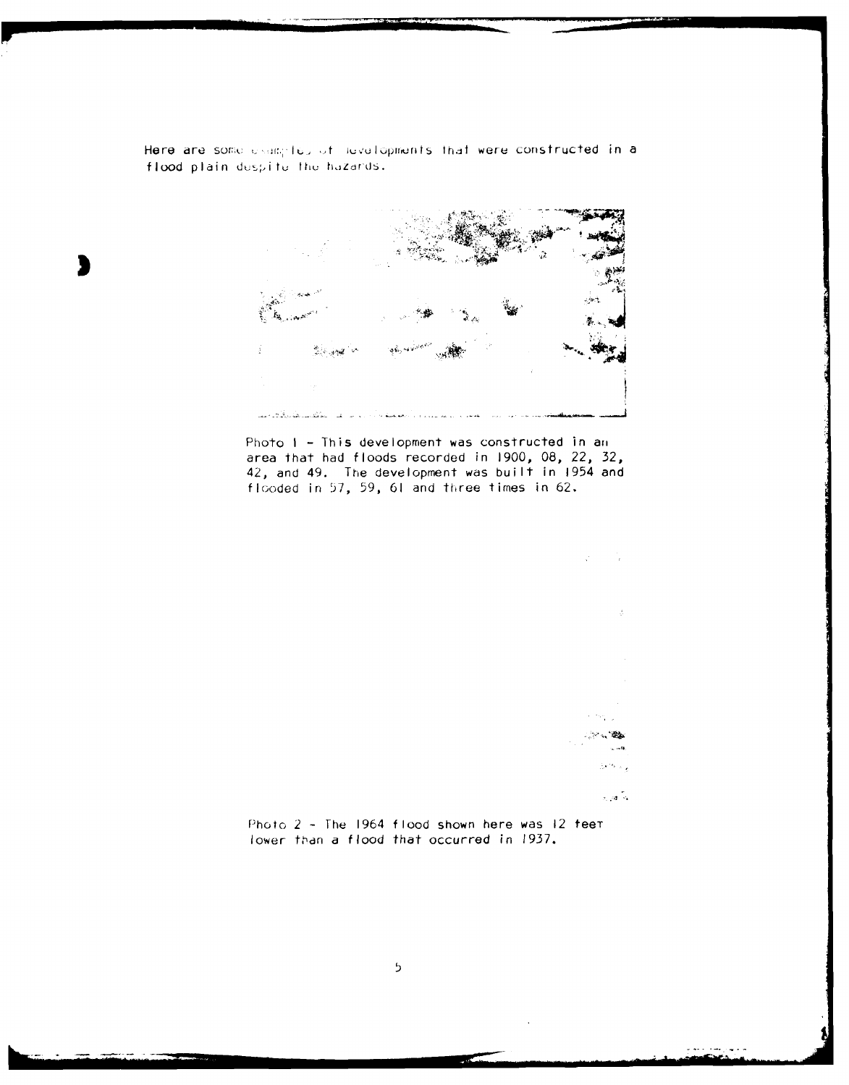Here are some examples of nevelopments that were constructed in a flood plain despite the hazards.



Photo 1 - This development was constructed in an area that had floods recorded in **1900, 08,** 22, **32,** 42, and 49. The development was built in 1954 and flooded in **57, 59, 61** and three times in **62.**



حديثم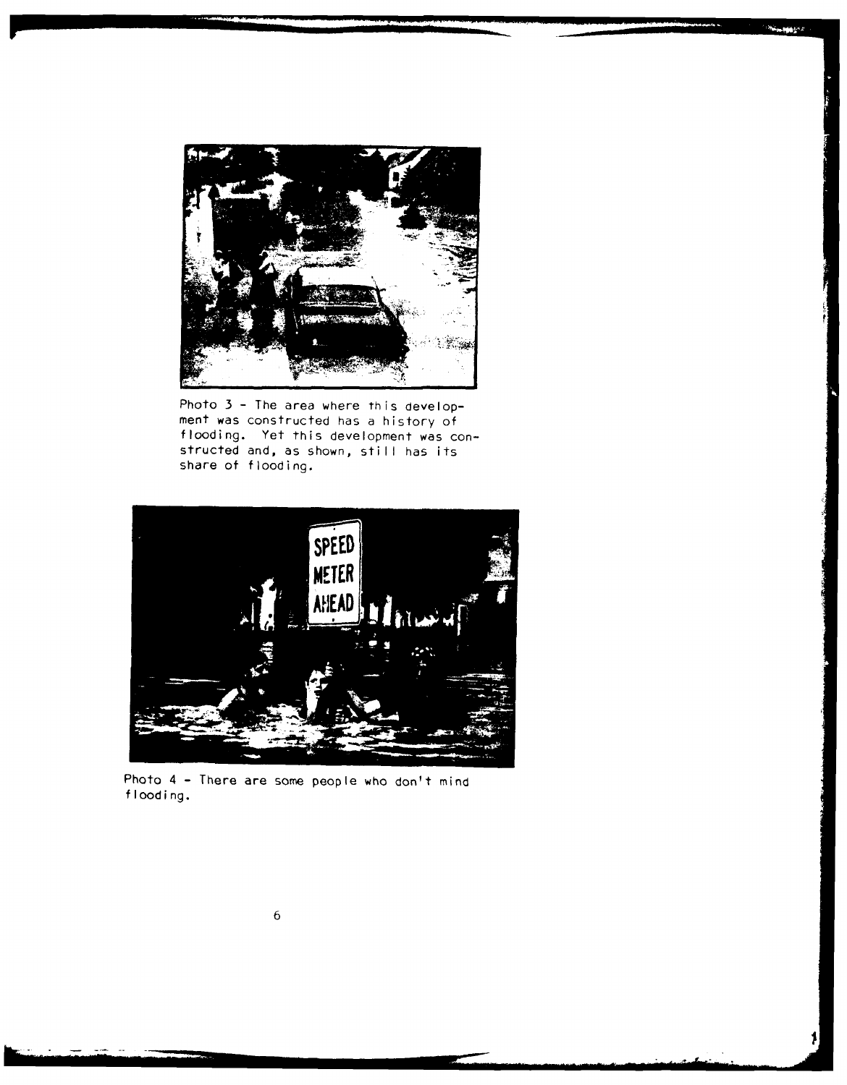

**New March** 

Photo 3 - The area where this development was constructed has a history of flooding. Yet this development was constructed and, as shown, still has its share of flooding.



Photo 4 **-** There are some people who don't mind flooding.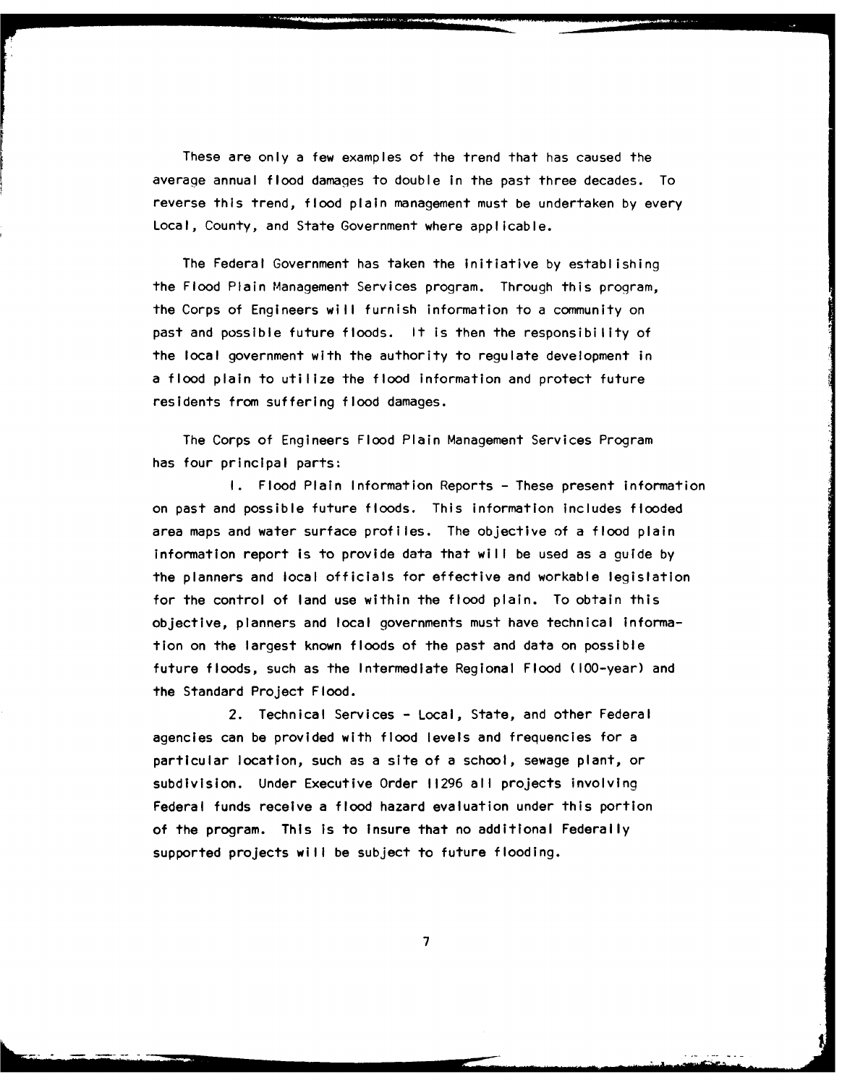These are only a few examples of the trend that has caused the average annual flood damages to double in the past three decades. To reverse this trend, flood plain management must be undertaken by every Local, County, and State Government where applicable.

The Federal Government has taken the Initiative by establishing the Flood Plain Management Services program. Through this program, the Corps of Engineers will furnish information to a community on past and possible future floods. It is then the responsibility of the local government with the authority to regulate development in a flood plain to utilize the flood information and protect future residents from suffering flood damages.

The Corps of Engineers Flood Plain Management Services Program has four principal parts:

I. Flood Plain Information Reports - These present information on past and possible future floods. This information Includes flooded area maps and water surface profiles. The objective of a flood plain Information report is to provide data that will be used as a guide by the planners and local officials for effective and workable legislation for the control of land use within the flood plain. To obtain this objective, planners and local governments must have technical information on the largest known floods of the past and data on possible future floods, such as the Intermediate Regional Flood (100-year) and the Standard Project Flood.

2. Technical Services - Local, State, and other Federal agencies can be provided with flood levels and frequencies for a particular location, such as a site of a school, sewage plant, or subdivision. Under Executive Order **11296** all projects involving Federal funds receive a flood hazard evaluation under this portion of the program. This is to insure that no additional Federally supported projects will be subject to future flooding.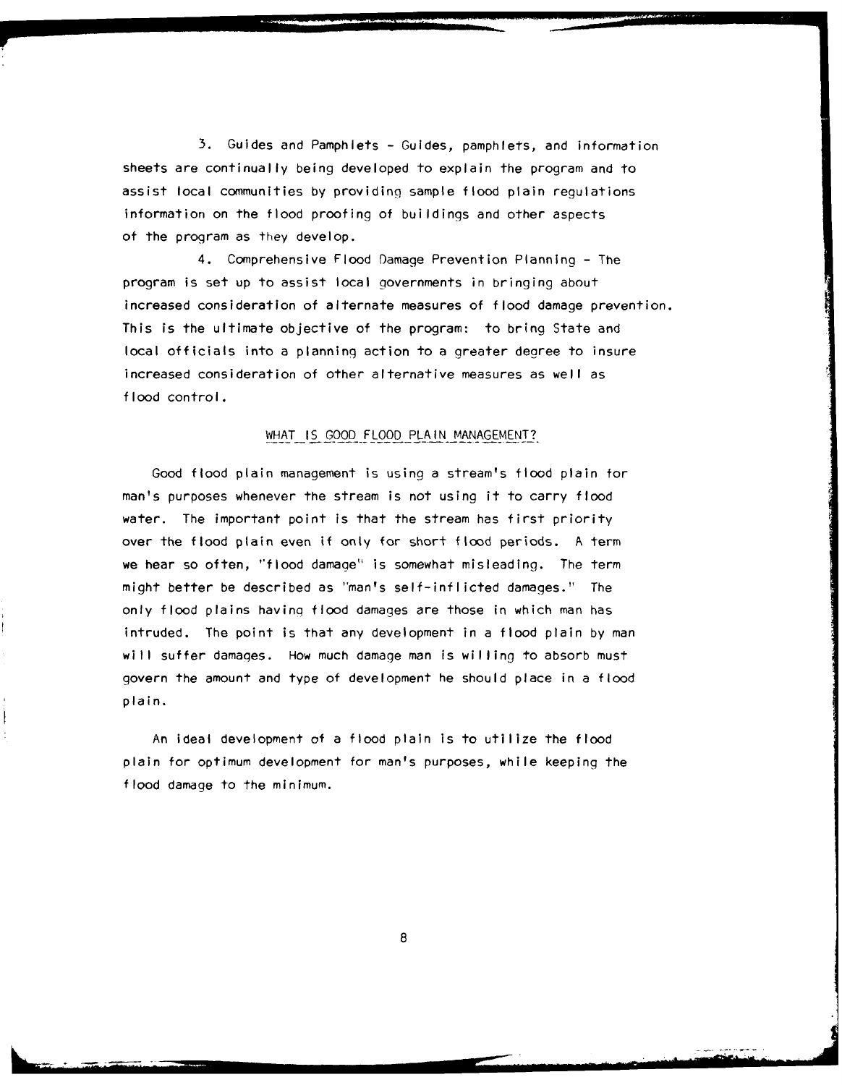**3.** Guides and Pamphlets - Guides, pamphlets, and information sheets are continually being developed to explain the program and to assist local communities by providing sample flood plain regulations information on the flood proofing of buildings and other aspects of the program as they develop.

4. Comprehensive Flood Damage Prevention Planning - The program is set up to assist local governments in bringing about increased consideration of alternate measures of flood damage prevention. This is the ultimate objective of the program: to bring State and local officials into a planning action to a greater degree to insure increased consideration of other alternative measures as well as flood control.

# WHAT IS GOOD FLOOD PLAIN MANAGEMENT?

Good flood plain management is using a stream's flood plain for man's purposes whenever the stream is not using it to carry flood water. The important point is that the stream has first priority over the flood plain even **if** only for short flood periods. **A** term we hear so often, "flood damage" is somewhat misleading. The term might better be described as "man's self-inflicted damages." The only flood plains having flood damages are those in which man has intruded. The point is that any development in a flood plain by man will suffer damages. How much damage man is willing to absorb must govern the amount and type of development he should place in a flood plain.

An ideal development **of** a flood plain is to utilize the flood plain for optimum development for man's purposes, while keeping the flood damage to the minimum.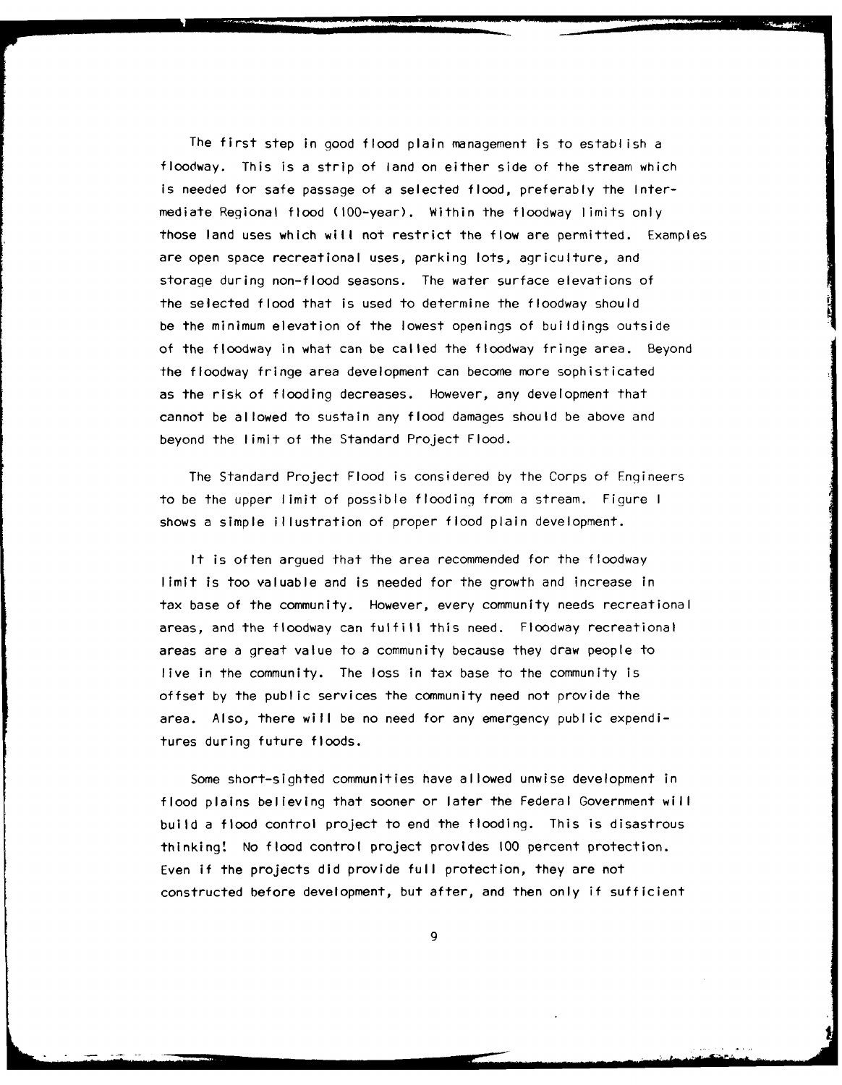The first step in good flood plain management is to establish a floodway. This is a strip of land on either side of the stream which is needed for safe passage of a selected flood, preferably the Intermediate Regional flood (100-year). Within the floodway limits only those land uses which will not restrict the flow are permitted. Examples are open space recreational uses, parking lots, agriculture, and storage during non-flood seasons. The water surface elevations of the selected flood that is used to determine the floodway should be the minimum elevation of the lowest openings of buildings outside of the floodway in what can be called the floodway fringe area. Beyond the floodway fringe area development can become more sophisticated as the risk of flooding decreases. However, any development that cannot be allowed to sustain any flood damages should be above and beyond the limit of the Standard Project Flood.

The Standard Project Flood is considered by the Corps of Engineers to be the upper limit of possible flooding from a stream. Figure I shows a simple illustration of proper flood plain development.

It is often argued that the area recommended for the floodway limit is too valuable and is needed for the growth and increase in tax base of the community. However, every community needs recreational areas, and the floodway can fulfill this need. Floodway recreational areas are a great value to a community because they draw people to live in the community. The loss in tax base to the community is offset by the public services the community need not provide the area. Also, there will be no need for any emergency public expenditures during future floods.

Some short-sighted communities have allowed unwise development in flood plains believing that sooner or later the Federal Government will build a flood control project to end the flooding. This is disastrous thinking! No flood control project provides **100** percent protection. Even if the projects did provide full protection, they are not constructed before development, but after, and then only if sufficient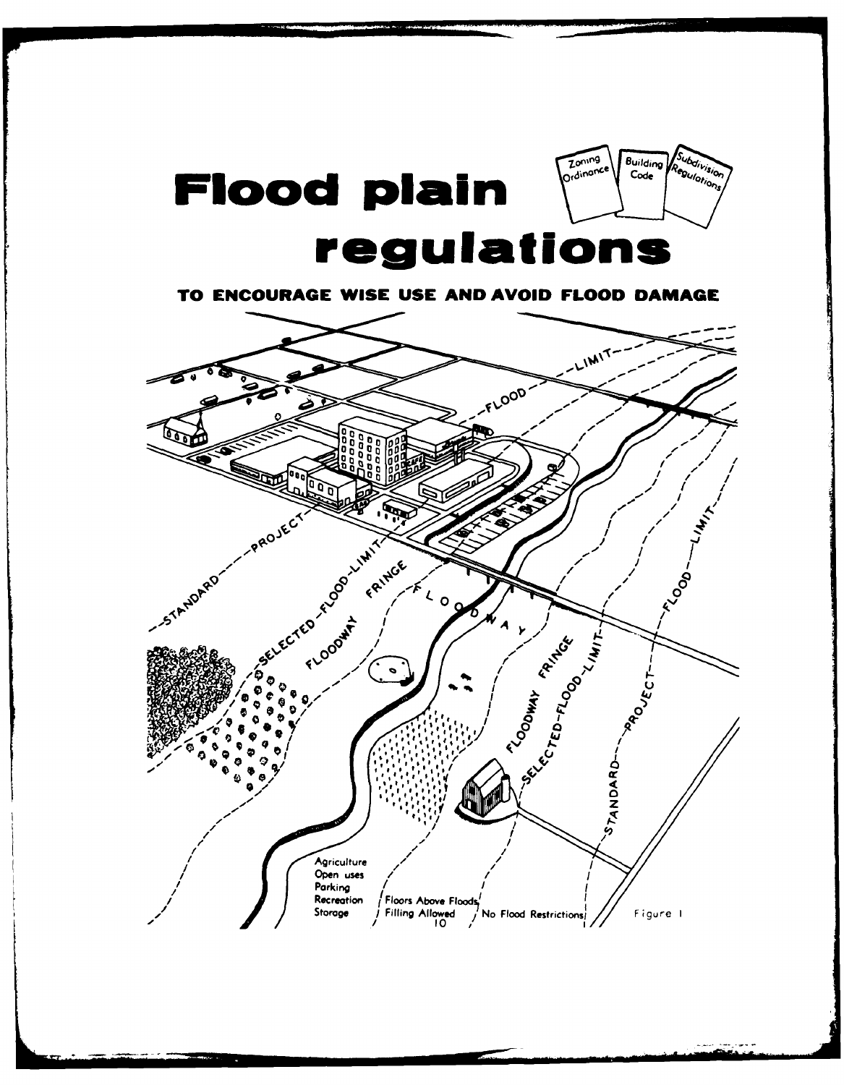

TO ENCOURAGE WISE USE AND AVOID FLOOD DAMAGE

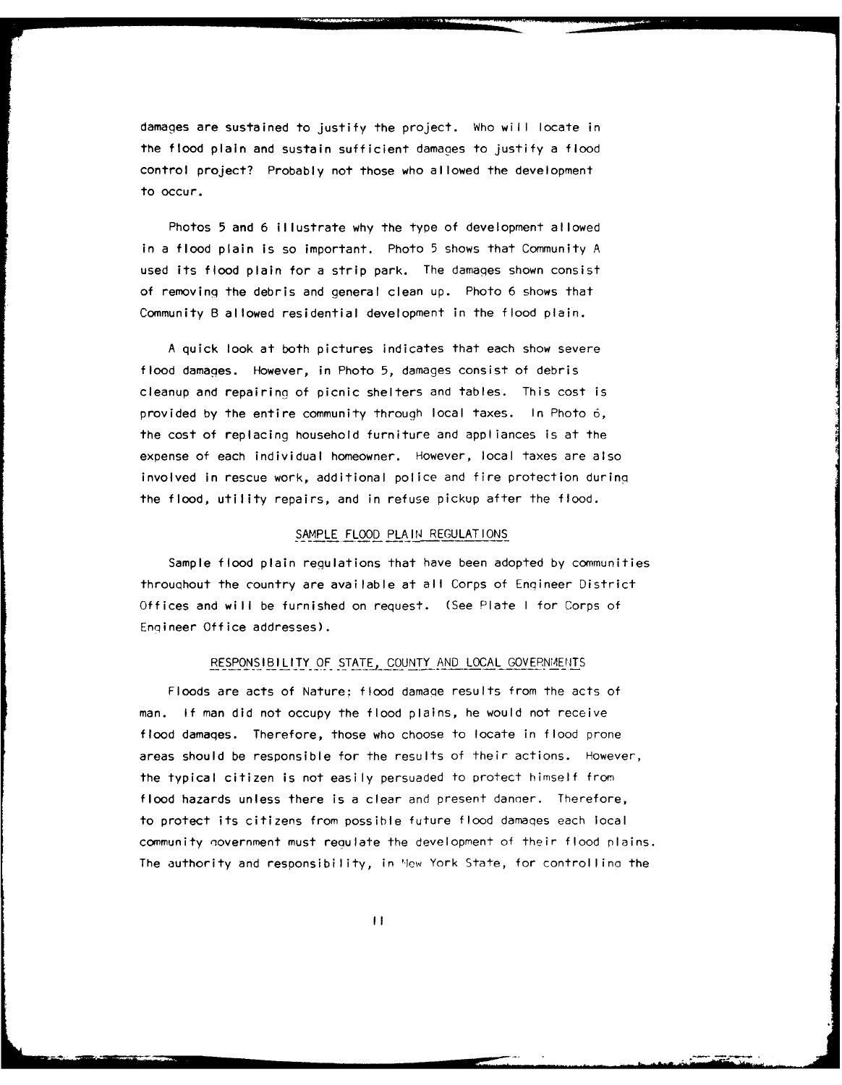damages are sustained to justify the project. Who will locate in the flood plain and sustain sufficient damages to justify a flood control project? Probably not those who allowed the development to occur.

Photos 5 and 6 illustrate why the type of development allowed in a flood plain is so important. Photo 5 shows that Community A used its flood plain for a strip park. The damages shown consist of removing the debris and general clean up. Photo 6 shows that Community B allowed residential development in the flood plain.

A quick look at both pictures indicates that each show severe flood damages. However, in Photo 5, damages consist of debris cleanup and repairing of picnic shelters and tables. This cost is provided by the entire community through local taxes. In Photo **6,** the cost of replacing household furniture and appliances is at the expense of each individual homeowner. However, local taxes are also involved in rescue work, additional police and fire protection during the flood, utility repairs, and in refuse pickup after the flood.

#### SAMPLE FLOOD PLAIN REGULATIONS

Sample flood plain regulations that have been adopted by communities throuqhout the country are available at all Corps of Engineer District Offices and will be furnished on request. (See Plate **I** for Corps of Enqineer Office addresses).

## RESPONSIBILITY OF **STATE,** COUNTY AND LOCAL GOVERNMENTS

Floods are acts of Nature; flood damaqe results from the acts of man. If man did not occupy the flood plains, he would not receive flood damaqes. Therefore, those who choose to locate in flood prone areas should be responsible for the results of their actions. However, the typical citizen is not easily persuaded to protect himself from flood hazards unless there is a clear and present danner. Therefore, to protect its citizens from possible future flood damaqes each local community novernment must reaulate the development of their flood plains. The authority and responsibility, in **'lwey** York State, for controllina the

II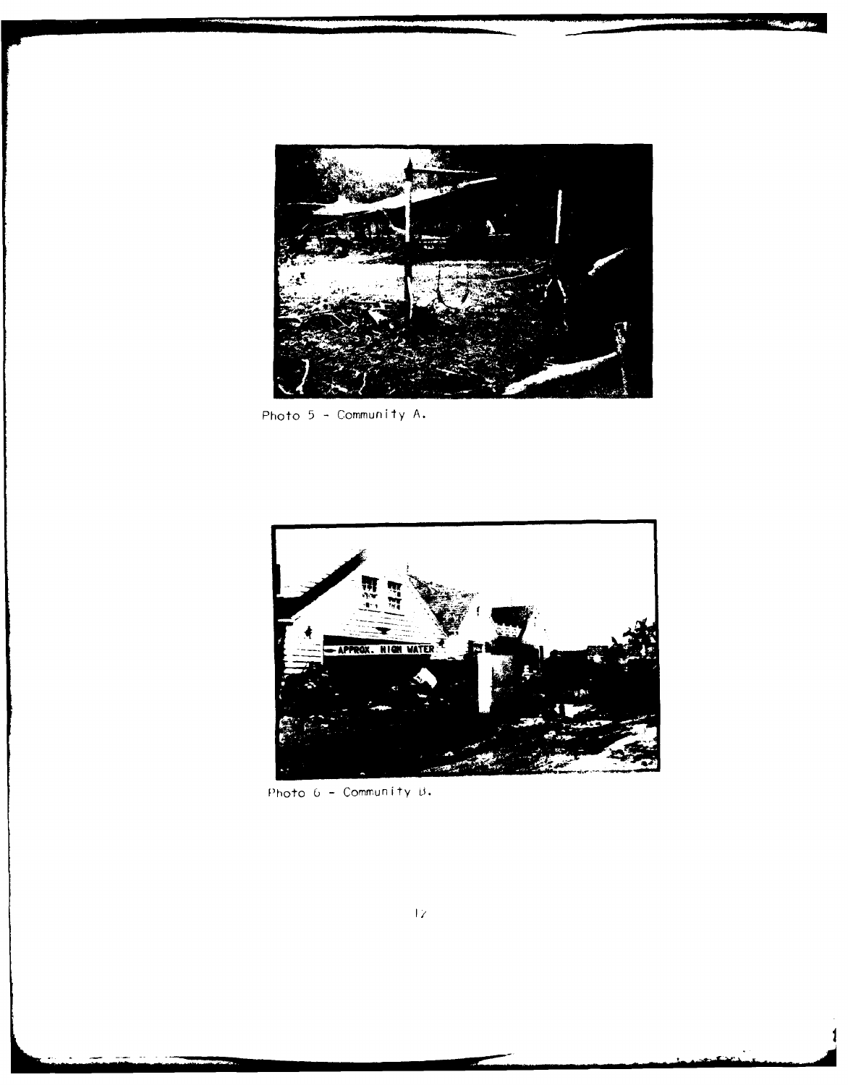

Photo **5** -Community **A.**



Photo 6 - Community B.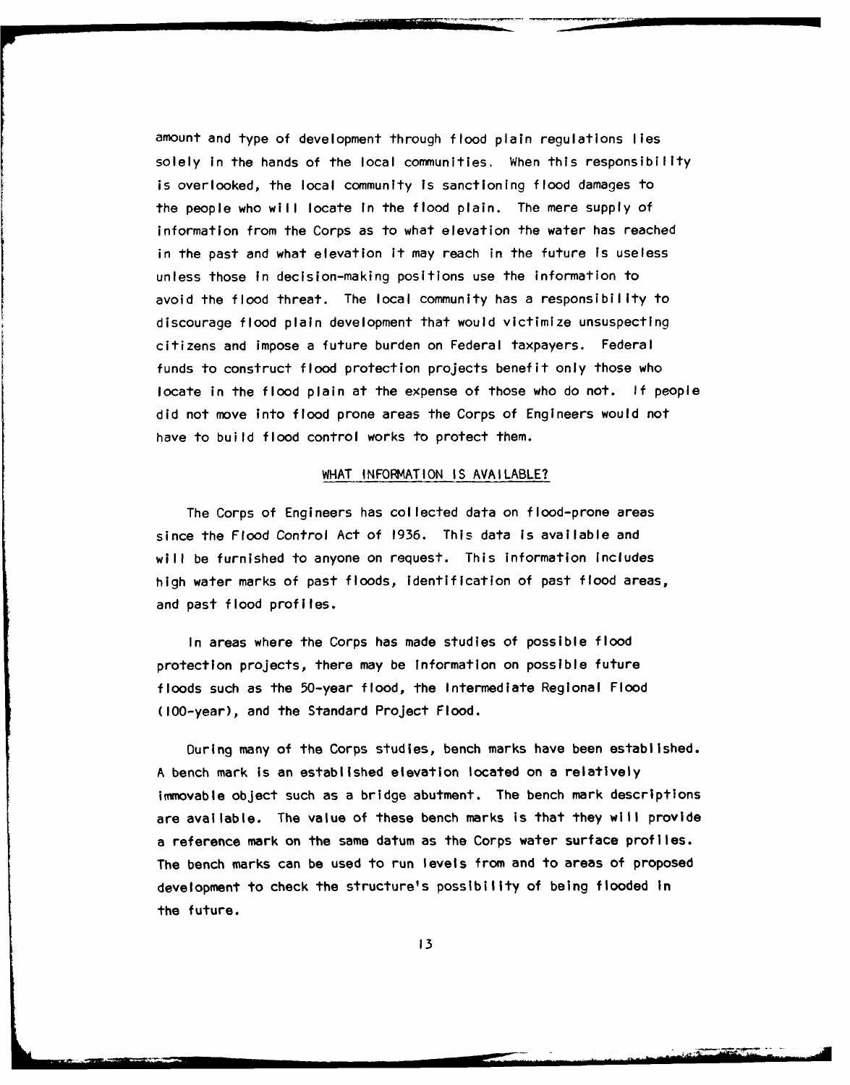amount and type of development through flood plain regulations lies solely in the hands of the local communities, When this responsibility is overlooked, the local community Is sanctioning flood damages to the people who will locate in the flood plain. The mere supply of information from the Corps as to what elevation the water has reached in the past and what elevation it may reach in the future is useless unless those In decision-making positions use the information to avoid the flood threat. The local community has a responsibility to discourage flood plain development that would victimize unsuspecting citizens and impose a future burden on Federal taxpayers. Federal funds to construct flood protection projects benefit only those who locate in the flood plain at the expense of those who do not. **If** people did not move into flood prone areas the Corps of Engineers would not have to build flood control works to protect them.

### WHAT INFORMATION IS AVAILABLE?

The Corps of Engineers has collected data on flood-prone areas since the Flood Control Act of **1936.** This data is available and will be furnished to anyone on request. This Information Includes high water marks of past floods, identification of past flood areas, and past flood profiles.

In areas where the Corps has made studies of possible flood protection projects, there may be information on possible future floods such as the 50-year flood, the Intermediate Regional Flood (100-year), and the Standard Project Flood.

During many of the Corps studies, bench marks have been established. **A** bench mark Is an established elevation located on a relatively immovable object such as a bridge abutment. The bench mark descriptions are available. The value of these bench marks is that they will provide a reference mark on the same datum as the Corps water surface profiles. The bench marks can be used to run levels from and to areas of proposed development to check the structure's possibility of being flooded In the future.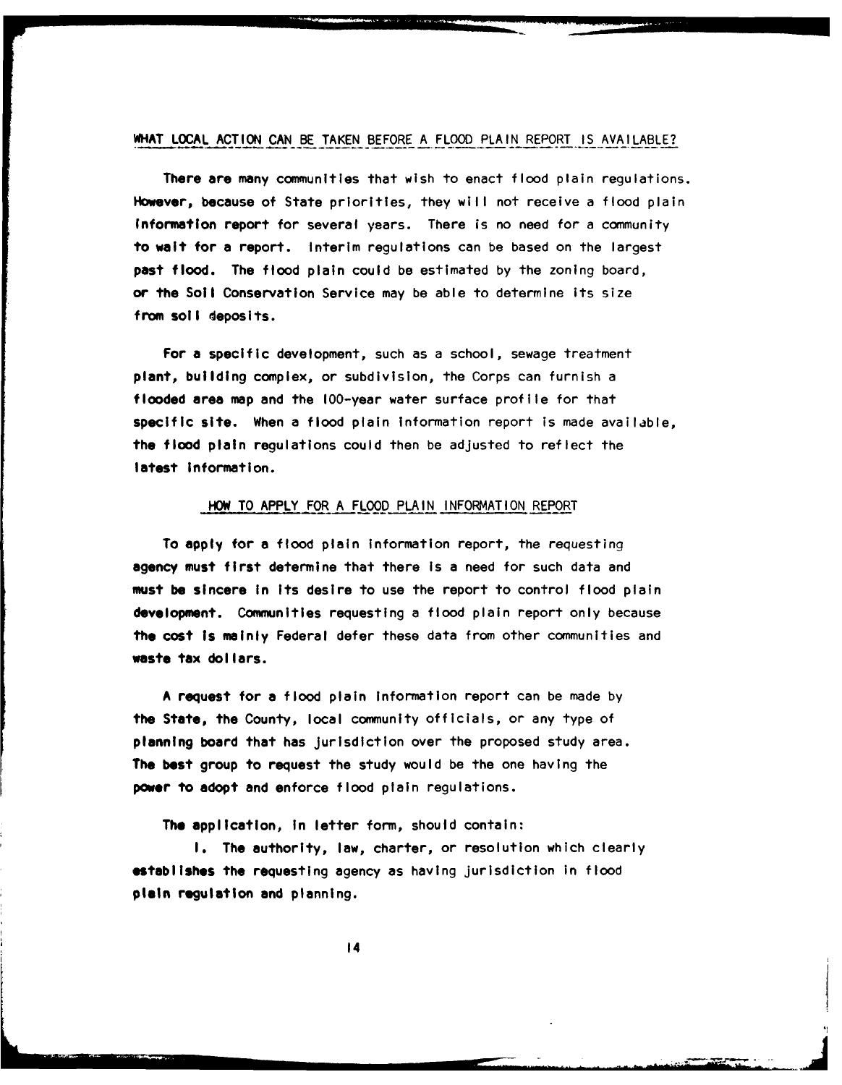# WHAT **LOCAL ACTION CAN** BE **TAKEN** BEFORE **A** FLOOD **PLAIN** REPORT **IS AVAILABLE?**

There are many communities that wish to enact flood plain regulations. However, because of State priorities, they wilt not receive a **flood** plain Information report for several years. There is no need for a community to wait for a report. Interim regulations can be based on the largest pasl flood. The flood plain could be estimated **by** the zoning board, or the Soil Conservation Service may be able to determine its size from soil deposits.

For a specific development, such as a school, sewage treatment plant, building complex, or subdivision, the Corps can furnish a flooded area map and the 100-year water surface profile for that specific site. When a flood plain information report is made available, the flood plain regulations could then be adjusted to reflect the **latest** Information.

#### HOW TO APPLY FOR **A** FLOOD **PLAIN** INFORMATION REPORT

To apply for **a** flood plain information report, the requesting agency must first determine that there Is a need for such data and **must be** sincere In Its desire to use the report to control flood plain **development.** Communities requesting a flood plain report only because **the** cost **Is** mainly Federal defer these data from other communities and waste tax dollars.

**A** request for a flood plain Information report can be made **by** the State, the County, local community officials, or any type of planning board that has jurisdiction over the proposed study area. **The** best group to request the study would be the one having the **power to** adopt and enforce flood plain regulations.

**The** application, In letter form, should contain:

**1.** The authority, law, charter, or resolution which clearly **establishes the** requesting agency as having jurisdiction in **flood plain regulation and planning.**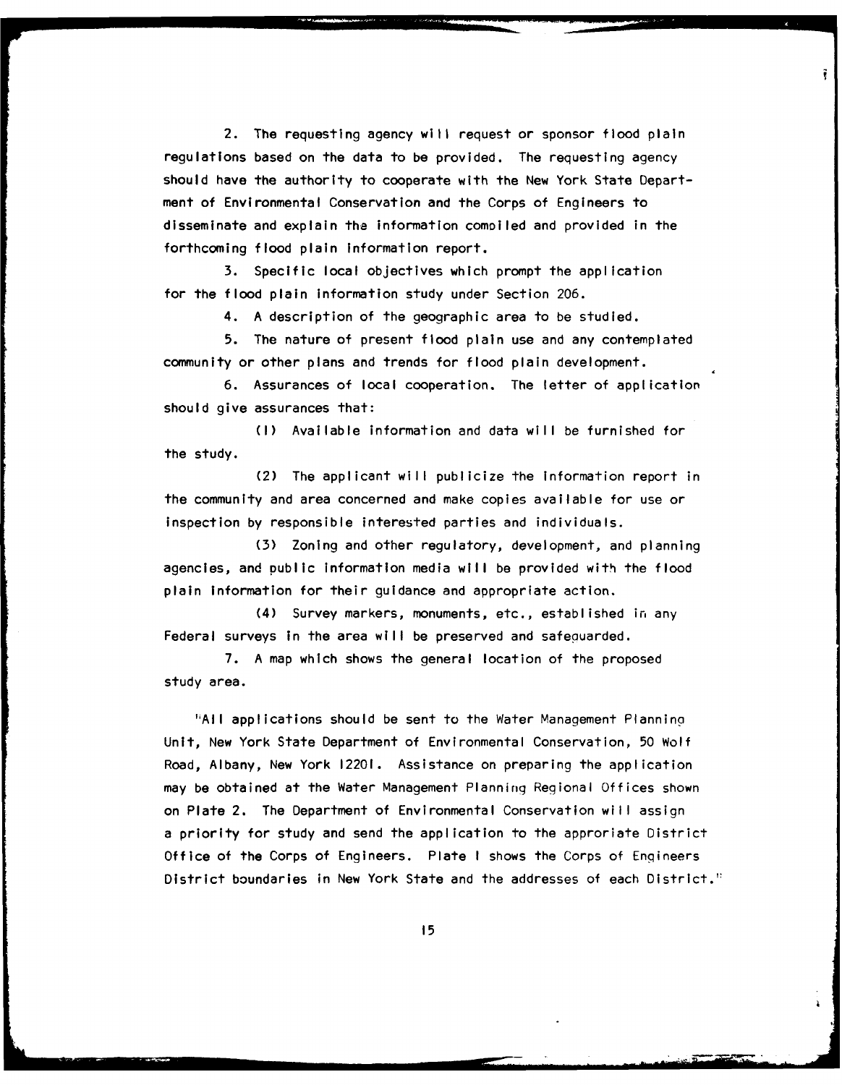2. The requesting agency will request or sponsor flood plain regulations based on the data to be provided. The requesting agency should have the authority to cooperate with the New York State Department of Environmental Conservation and the Corps of Engineers to disseminate and explain tha information comoiled and provided in the forthcoming flood plain information report.

Ŧ.

**3.** Specific local objectives which prompt the application for the flood plain information study under Section **206.**

4. **A** description of the geographic area to be studied.

**5.** The nature of present flood plain use and any contemplated community or other plans and trends for flood plain development.

**6.** Assurances of local cooperation. The letter of application should give assurances that:

**(I)** Available information and data will be furnished for **the study.**

(2) The applicant will publicize the Information report in the community and area concerned and make copies available for use or inspection **by** responsible interested parties and individuals.

**(3)** Zoning and other regulatory, development, and planning agencies, and public information media will be provided with the flood plain information for their guidance and appropriate action.

(4) Survey markers, monuments, etc., established in any Federal surveys in the area will be preserved and safeguarded.

**7.** A map which shows the general location of the proposed study area.

'iAll applications should be sent to the Water Management Planning Unit, New York State Department of Environmental Conservation, **50** Wolf Road, Albany, New York 12201. Assistance on preparing the application may be obtained at the Water Management Planning Regional Offices shown on Plate 2. The Department of Environmental Conservation will assign a priority for study and send the application to the approriate District Office of the Corps of Engineers. Plate **I** shows the Corps of Engineers District boundaries in New York State and the addresses of each District."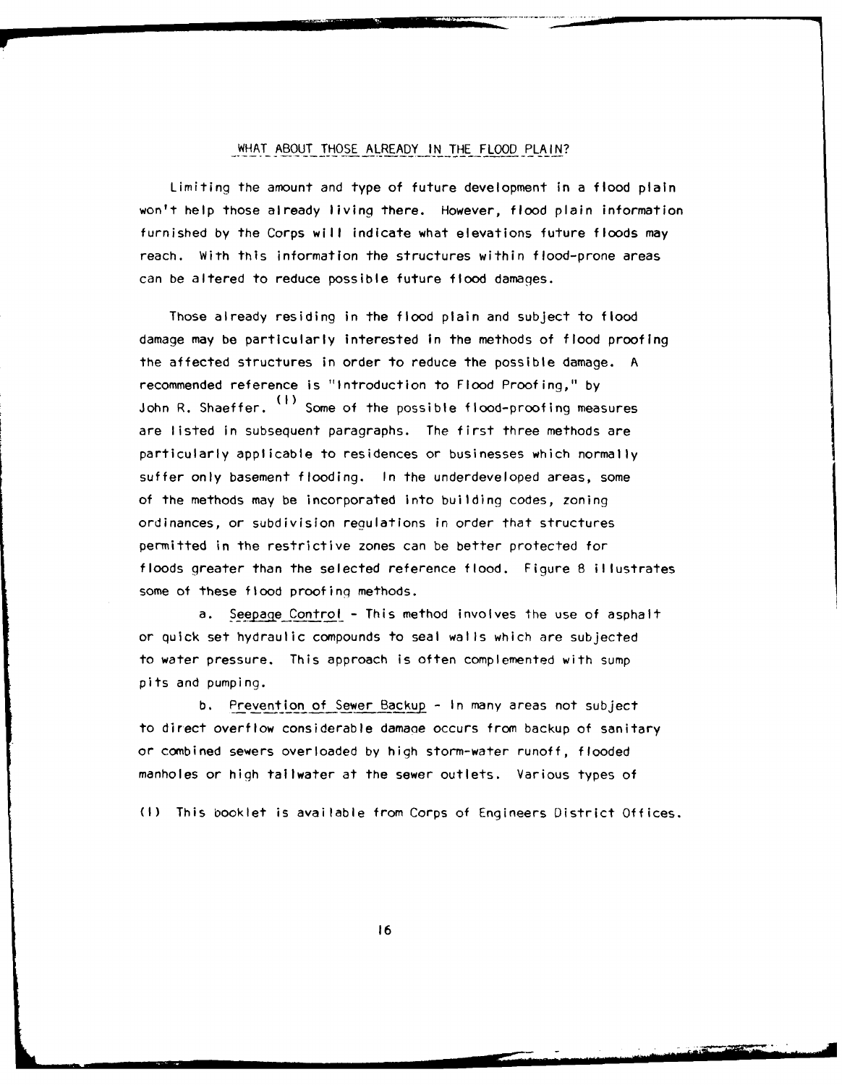## WHAT ABOUT THOSE ALREADY IN THE FLOOD PLAIN?

Limiting the amount and type of future development in a flood plain won't help those already living there. However, flood plain information furnished by the Corps will indicate what elevations future floods may reach. With this information the structures within flood-prone areas can be altered to reduce possible future flood damages.

Those already residing in the flood plain and subject to flood damage may be particularly interested in the methods of flood proofing the affected structures in order to reduce the possible damage. A recommended reference is "Introduction to Flood Proofing," by **(I)** John R. Shaeffer. ``´ Some of the possible flood-proofing measures are listed in subsequent paragraphs. The first three methods are particularly applicable to residences or businesses which normally suffer only basement flooding. In the underdeveloped areas, some of the methods may be incorporated into building codes, zoning ordinances, or subdivision reaulations in order that structures permitted in the restrictive zones can be better protected for floods greater than the selected reference flood. Figure 8 illustrates some of these flood proofing methods.

a. Seepage Control - This method involves the use of asphalt or quick set hydraulic compounds to seal walls which are subjected to water pressure. This approach is often complemented with sump pits and pumping.

b. Prevention of Sewer Backup - In many areas not subject to direct overflow considerable damage occurs from backup of sanitary or combined sewers overloaded by high storm-water runoff, flooded manholes or high tallwater at the sewer outlets. Various types of

(I) This booklet is available from Corps of Engineers District Offices.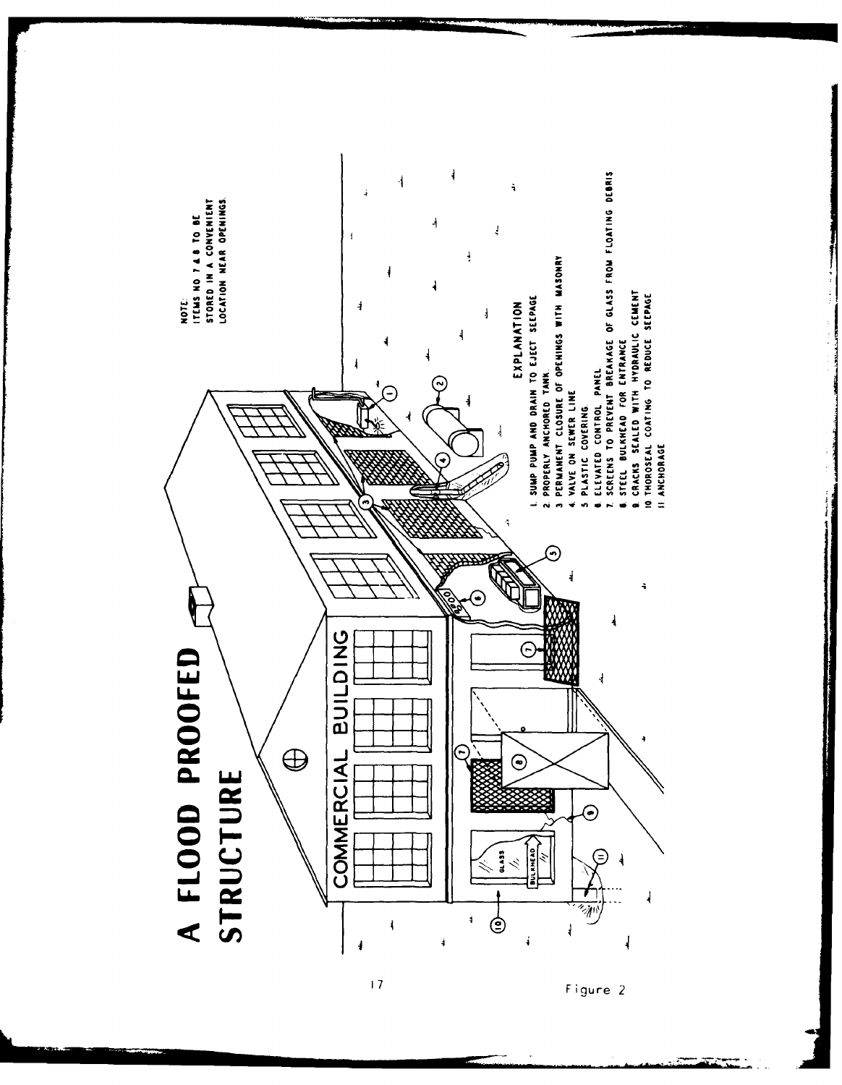

Figure 2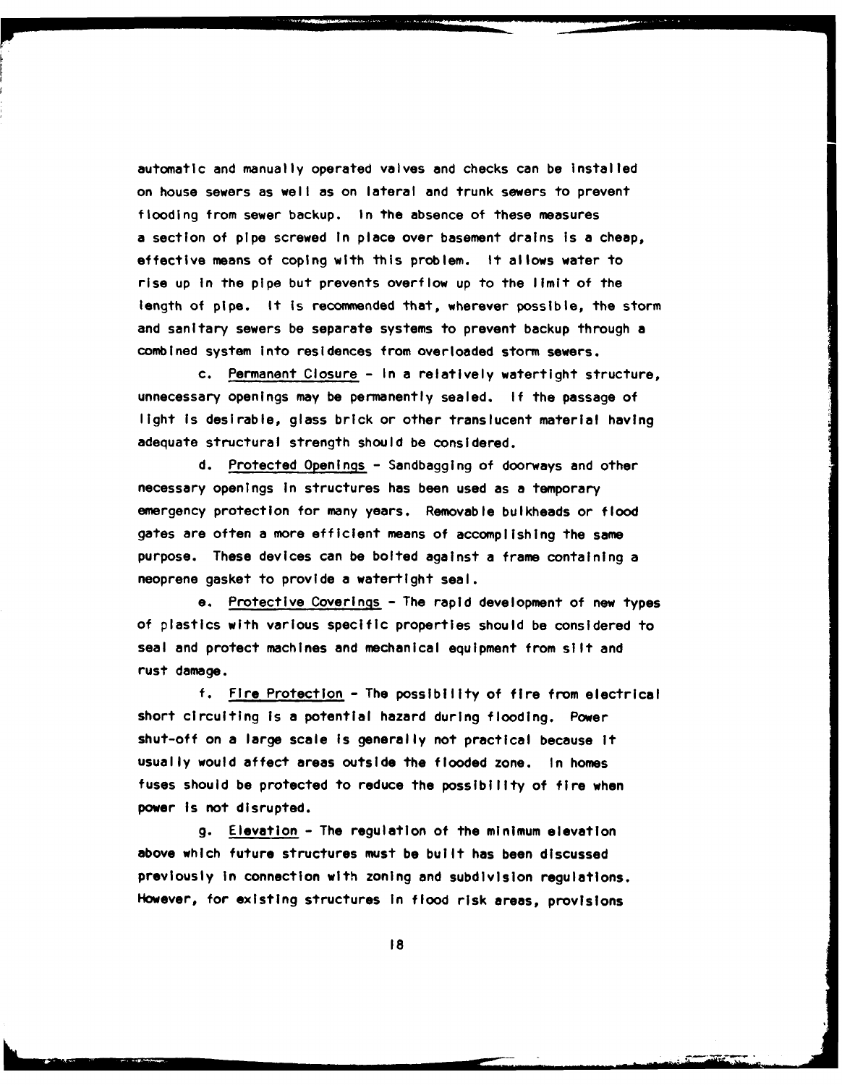automatic and manually operated valves and checks can be Installed on house sewers as welt as on lateral and trunk sewers to prevent flooding from sewer backup. In the absence of these measures a section of pipe screwed In place over basement drains Is a cheap, effective means of coping with this problem. It allows water to rise up in the pipe but prevents overflow up to the limit of the length of pipe. It is recommended that, wherever possible, the storm and sanitary sewers be separate systems to prevent backup through a combined system Into residences from overloaded storm sewers.

c. Permanent Closure **-** In a relatively watertight structure, unnecessary openings may be permanently sealed. **If** the passage of light Is desirable, glass brick or other translucent material having adequate structural strength should be considered.

**d.** Protected Openings **-** Sandbagging of doorways and other necessary openings In structures has been used as a temporary emergency protection for many years. Removable bulkheads or flood gates are often a more efficient means of accomplishing the same purpose. These devices can be bolted against a frame containing a neoprene gasket to provide a watertight seal.

e. Protective Coverings **-** The rapid development of new types of plastics with various specific properties should be considered to seal and protect machines and mechanical equipment from silt and rust damage.

**f.** Fire Protection **-** The possibility of fire from electrical short circulting Is a potential hazard during flooding. Power shut-off on a large scale is generally not practical because it usually would affect areas outside the flooded zone. In homes fuses should **be** protected to reduce the possibility of fire when power Is not disrupted.

**g.** Elevation **-** The regulation of the minimum elevation above which future structures must be built has been discussed previously In connection with zoning and subdivision regulations. However, for existing structures In flood risk areas, provisions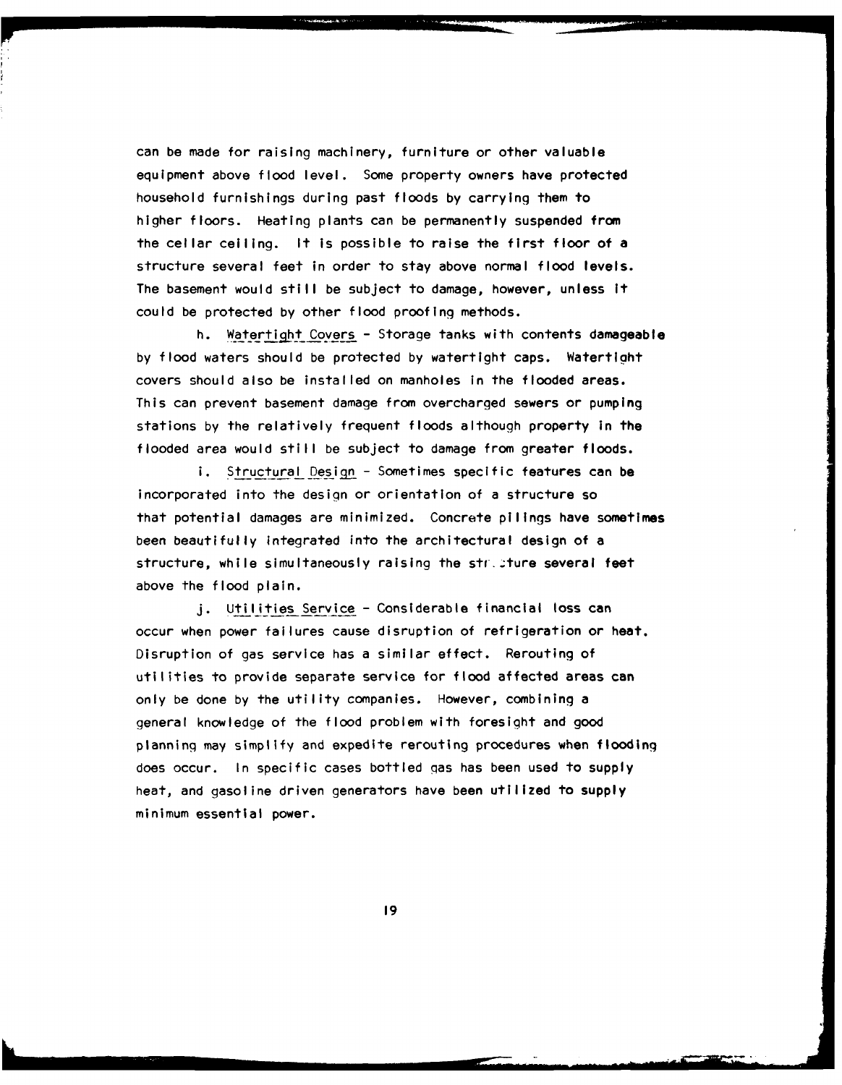can be made for raising machinery, furniture or other valuable equipment above flood level. Some property owners have protected household furnishings during past floods **by** carrying them to higher floors. Heating plants can be permanently suspended from the cellar ceiling. It is possible to raise the first floor of a structure several feet in order to stay above normal flood levels. The basement would still be subject to damage, however, unless It could be protected **by** other flood proofing methods.

h. Watertight Covers **-** Storage tanks with contents damageable **by** flood waters should be protected **by** watertight caps. Watertight covers should also be installed on manholes in the flooded areas. This can prevent basement damage from overcharged sewers or pumping stations **by** the relatively frequent floods although property in the flooded area would still be subject to damage from greater floods.

i. Structural Design - Sometimes specific features can be incorporated into the design or orientation of a structure so that potential damages are minimized. Concrete pilings have sometimes been beautifully Integrated into the architectural design of a structure, while simultaneously raising the stricture several feet above the flood plain.

**j.** Utilities Service **-** Considerable financial loss can occur when power failures cause disruption of refrigeration or heat. Disruption of gas service has a similar effect. Rerouting of utilities to provide separate service for flood affected areas can only be done **by** the utility companies. However, combining a general knowledge of the flood problem with foresight and good planning may simplify and expedite rerouting procedures when flooding does occur. In specific cases bottled gas has been used to supply heat, and gasoline driven generators have been utilized to supply minimum essential power.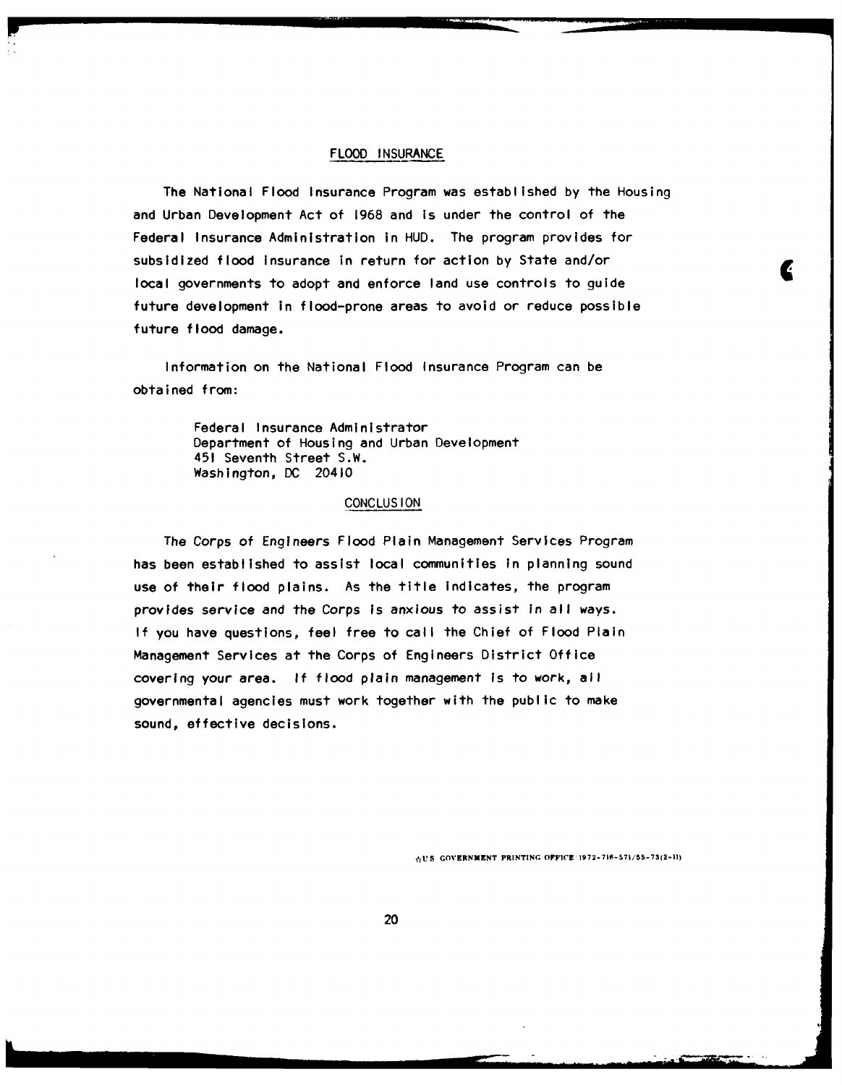## FLOOD **INSURANCE**

The National Flood Insurance Program was established **by** the Housing and Urban Development Act of **1968** and is under the control of the Federal Insurance Administration in **HUD.** The program provides for subsidized flood Insurance in return for action **by** State and/or local governments to adopt and enforce land use controls to guide future development in flood-prone areas to avoid or reduce possible future flood damage.

Information on the National Flood Insurance Program can be obtained from:

> Federal Insurance Administrator Department of Housing and Urban Development 451 Seventh Street S.W. Washington, **DC** 20410

## **CONCLUS ION**

The Corps of Engineers Flood Plain Management Services Program has been established to assist local communities in planning sound use of their flood plains. As the title indicates, the program provides service and the Corps is anxious to assist In all ways. **If** you have questions, feel free to call the Chief of Flood Plain Management Services at the Corps of Engineers District Office covering your area. **If** flood plain management Is to work, all governmental agencies must work together with the public to make sound, effective decisions.

**\*U2S GOVERNMENT PRINTING. OFFICE 1972-716-571/'55-73(2-11)**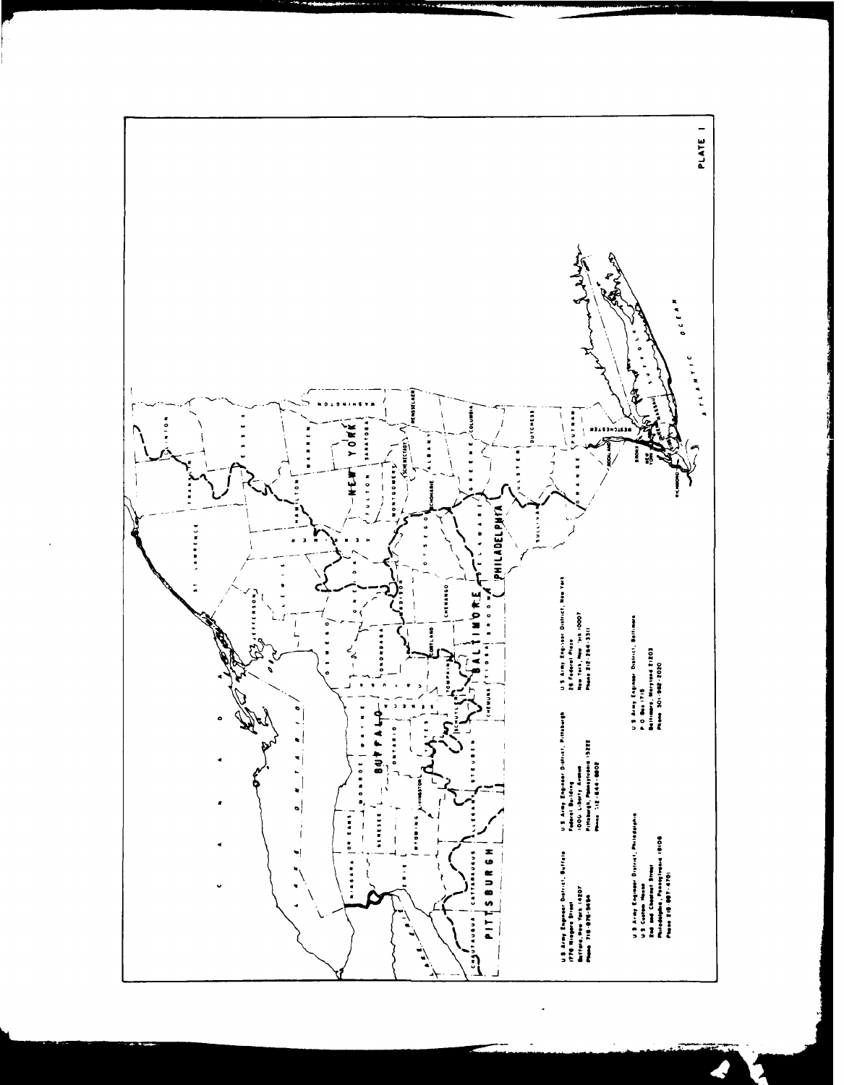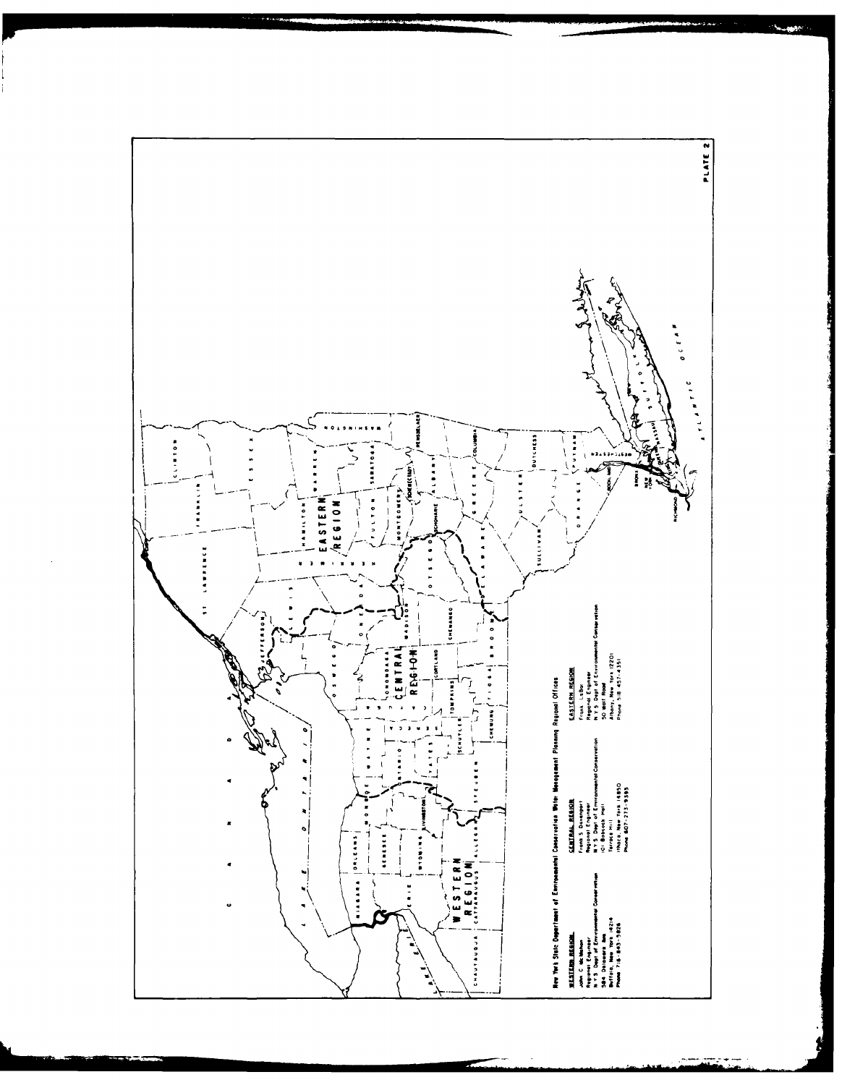

 $\mathcal{O}(\mathbf{t})$ este.<br>Contro